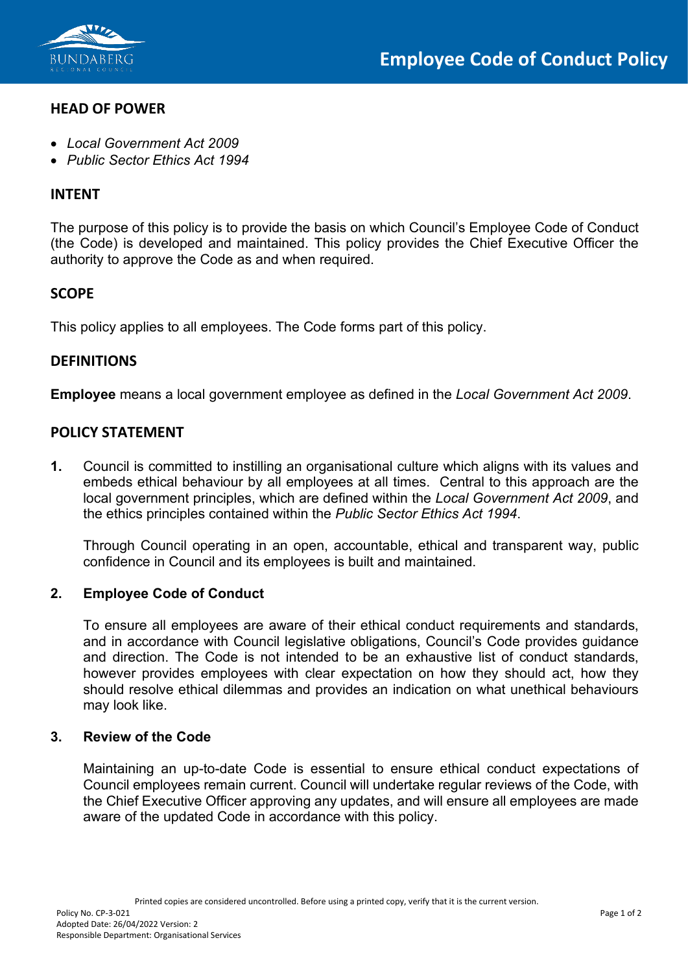

# **HEAD OF POWER**

- *Local Government Act 2009*
- *Public Sector Ethics Act 1994*

### **INTENT**

The purpose of this policy is to provide the basis on which Council's Employee Code of Conduct (the Code) is developed and maintained. This policy provides the Chief Executive Officer the authority to approve the Code as and when required.

## **SCOPE**

This policy applies to all employees. The Code forms part of this policy.

## **DEFINITIONS**

**Employee** means a local government employee as defined in the *Local Government Act 2009*.

## **POLICY STATEMENT**

**1.** Council is committed to instilling an organisational culture which aligns with its values and embeds ethical behaviour by all employees at all times. Central to this approach are the local government principles, which are defined within the *Local Government Act 2009*, and the ethics principles contained within the *Public Sector Ethics Act 1994*.

Through Council operating in an open, accountable, ethical and transparent way, public confidence in Council and its employees is built and maintained.

#### **2. Employee Code of Conduct**

To ensure all employees are aware of their ethical conduct requirements and standards, and in accordance with Council legislative obligations, Council's Code provides guidance and direction. The Code is not intended to be an exhaustive list of conduct standards, however provides employees with clear expectation on how they should act, how they should resolve ethical dilemmas and provides an indication on what unethical behaviours may look like.

#### **3. Review of the Code**

Maintaining an up-to-date Code is essential to ensure ethical conduct expectations of Council employees remain current. Council will undertake regular reviews of the Code, with the Chief Executive Officer approving any updates, and will ensure all employees are made aware of the updated Code in accordance with this policy.